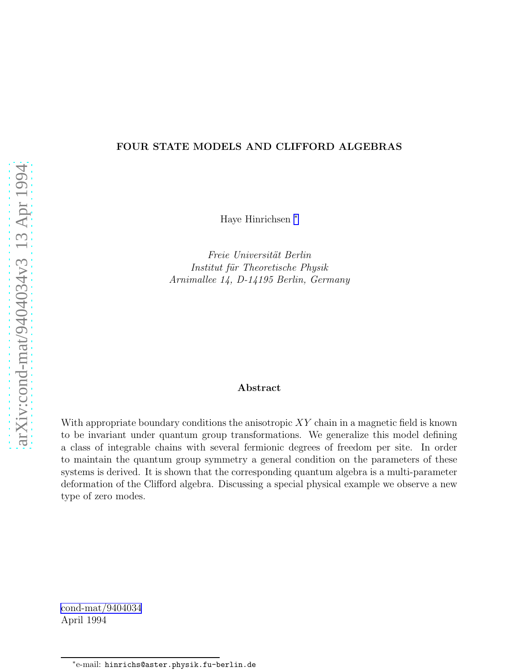#### FOUR STATE MODELS AND CLIFFORD ALGEBRAS

Haye Hinrichsen <sup>∗</sup>

Freie Universität Berlin Institut für Theoretische Physik Arnimallee 14, D-14195 Berlin, Germany

#### Abstract

With appropriate boundary conditions the anisotropic  $XY$  chain in a magnetic field is known to be invariant under quantum group transformations. We generalize this model defining a class of integrable chains with several fermionic degrees of freedom per site. In order to maintain the quantum group symmetry a general condition on the parameters of these systems is derived. It is shown that the corresponding quantum algebra is a multi-parameter deformation of the Clifford algebra. Discussing a special physical example we observe a new type of zero modes.

[cond-mat/9404034](http://arxiv.org/abs/cond-mat/9404034) April 1994

<sup>∗</sup> e-mail: hinrichs@aster.physik.fu-berlin.de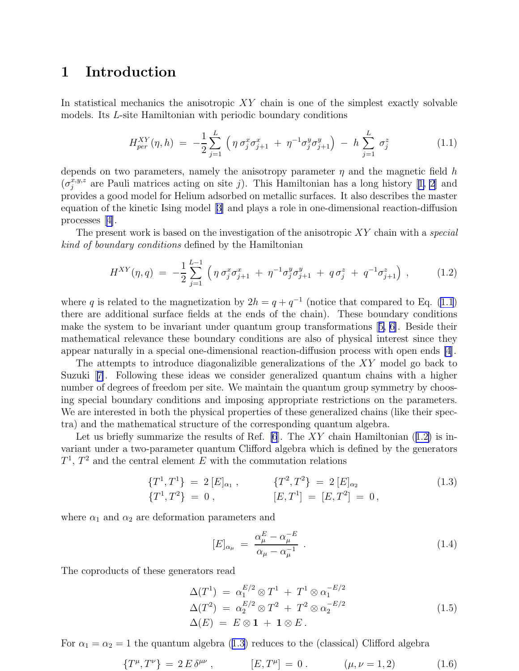## <span id="page-1-0"></span>1 Introduction

In statistical mechanics the anisotropic  $XY$  chain is one of the simplest exactly solvable models. Its L-site Hamiltonian with periodic boundary conditions

$$
H_{per}^{XY}(\eta, h) = -\frac{1}{2} \sum_{j=1}^{L} \left( \eta \sigma_j^x \sigma_{j+1}^x + \eta^{-1} \sigma_j^y \sigma_{j+1}^y \right) - h \sum_{j=1}^{L} \sigma_j^z \qquad (1.1)
$$

depends on two parameters, namely the anisotropy parameter  $\eta$  and the magnetic field h  $(\sigma_j^{x,y,z}$ are Pauli matrices acting on site j). This Hamiltonian has a long history [[1, 2](#page-16-0)] and provides a good model for Helium adsorbed on metallic surfaces. It also describes the master equation of the kinetic Ising model[[3\]](#page-16-0) and plays a role in one-dimensional reaction-diffusion processes[[4\]](#page-16-0).

The present work is based on the investigation of the anisotropic  $XY$  chain with a special kind of boundary conditions defined by the Hamiltonian

$$
H^{XY}(\eta, q) = -\frac{1}{2} \sum_{j=1}^{L-1} \left( \eta \sigma_j^x \sigma_{j+1}^x + \eta^{-1} \sigma_j^y \sigma_{j+1}^y + q \sigma_j^z + q^{-1} \sigma_{j+1}^z \right) , \qquad (1.2)
$$

where q is related to the magnetization by  $2h = q + q^{-1}$  (notice that compared to Eq. (1.1) there are additional surface fields at the ends of the chain). These boundary conditions make the system to be invariant under quantum group transformations[[5, 6\]](#page-16-0). Beside their mathematical relevance these boundary conditions are also of physical interest since they appear naturally in a special one-dimensional reaction-diffusion process with open ends [\[4](#page-16-0)].

The attempts to introduce diagonalizible generalizations of the XY model go back to Suzuki[[7\]](#page-16-0). Following these ideas we consider generalized quantum chains with a higher number of degrees of freedom per site. We maintain the quantum group symmetry by choosing special boundary conditions and imposing appropriate restrictions on the parameters. We are interested in both the physical properties of these generalized chains (like their spectra) and the mathematical structure of the corresponding quantum algebra.

Let us briefly summarize the results of Ref.  $|6|$ . The XY chain Hamiltonian (1.2) is invariant under a two-parameter quantum Clifford algebra which is defined by the generators  $T^1$ ,  $T^2$  and the central element E with the commutation relations

$$
\begin{aligned}\n\{T^1, T^1\} &= 2 \left[E\right]_{\alpha_1}, & \{T^2, T^2\} &= 2 \left[E\right]_{\alpha_2} \\
\{T^1, T^2\} &= 0, & \{E, T^1\} &= \left[E, T^2\right] = 0,\n\end{aligned}\n\tag{1.3}
$$

where  $\alpha_1$  and  $\alpha_2$  are deformation parameters and

$$
[E]_{\alpha_{\mu}} = \frac{\alpha_{\mu}^{E} - \alpha_{\mu}^{-E}}{\alpha_{\mu} - \alpha_{\mu}^{-1}} \tag{1.4}
$$

The coproducts of these generators read

$$
\Delta(T^1) = \alpha_1^{E/2} \otimes T^1 + T^1 \otimes \alpha_1^{-E/2}
$$
  
\n
$$
\Delta(T^2) = \alpha_2^{E/2} \otimes T^2 + T^2 \otimes \alpha_2^{-E/2}
$$
  
\n
$$
\Delta(E) = E \otimes \mathbf{1} + \mathbf{1} \otimes E.
$$
\n(1.5)

For  $\alpha_1 = \alpha_2 = 1$  the quantum algebra (1.3) reduces to the (classical) Clifford algebra

$$
\{T^{\mu},T^{\nu}\} = 2 E \delta^{\mu\nu}, \qquad [E,T^{\mu}] = 0. \qquad (\mu,\nu = 1,2) \qquad (1.6)
$$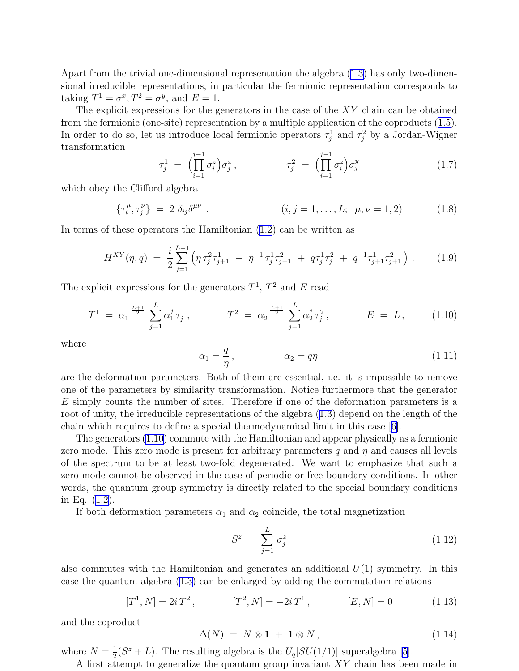<span id="page-2-0"></span>Apart from the trivial one-dimensional representation the algebra([1.3\)](#page-1-0) has only two-dimensional irreducible representations, in particular the fermionic representation corresponds to taking  $T^1 = \sigma^x, T^2 = \sigma^y$ , and  $E = 1$ .

The explicit expressions for the generators in the case of the XY chain can be obtained from the fermionic (one-site) representation by a multiple application of the coproducts([1.5\)](#page-1-0). In order to do so, let us introduce local fermionic operators  $\tau_j^1$  and  $\tau_j^2$  by a Jordan-Wigner transformation

$$
\tau_j^1 = \left( \prod_{i=1}^{j-1} \sigma_i^z \right) \sigma_j^x, \qquad \tau_j^2 = \left( \prod_{i=1}^{j-1} \sigma_i^z \right) \sigma_j^y \qquad (1.7)
$$

which obey the Clifford algebra

$$
\{\tau_i^{\mu}, \tau_j^{\nu}\} = 2 \delta_{ij} \delta^{\mu \nu} . \qquad (i, j = 1, ..., L; \ \mu, \nu = 1, 2)
$$
 (1.8)

In terms of these operators the Hamiltonian [\(1.2](#page-1-0)) can be written as

$$
H^{XY}(\eta, q) = \frac{i}{2} \sum_{j=1}^{L-1} \left( \eta \tau_j^2 \tau_{j+1}^1 - \eta^{-1} \tau_j^1 \tau_{j+1}^2 + q \tau_j^1 \tau_j^2 + q^{-1} \tau_{j+1}^1 \tau_{j+1}^2 \right). \tag{1.9}
$$

The explicit expressions for the generators  $T^1$ ,  $T^2$  and E read

$$
T^{1} = \alpha_{1}^{-\frac{L+1}{2}} \sum_{j=1}^{L} \alpha_{1}^{j} \tau_{j}^{1}, \qquad T^{2} = \alpha_{2}^{-\frac{L+1}{2}} \sum_{j=1}^{L} \alpha_{2}^{j} \tau_{j}^{2}, \qquad E = L, \qquad (1.10)
$$

where

$$
\alpha_1 = \frac{q}{\eta}, \qquad \alpha_2 = q\eta \tag{1.11}
$$

are the deformation parameters. Both of them are essential, i.e. it is impossible to remove one of the parameters by similarity transformation. Notice furthermore that the generator E simply counts the number of sites. Therefore if one of the deformation parameters is a root of unity, the irreducible representations of the algebra([1.3\)](#page-1-0) depend on the length of the chain which requires to define a special thermodynamical limit in this case[[6\]](#page-16-0).

The generators (1.10) commute with the Hamiltonian and appear physically as a fermionic zero mode. This zero mode is present for arbitrary parameters q and  $\eta$  and causes all levels of the spectrum to be at least two-fold degenerated. We want to emphasize that such a zero mode cannot be observed in the case of periodic or free boundary conditions. In other words, the quantum group symmetry is directly related to the special boundary conditions in Eq.([1.2\)](#page-1-0).

If both deformation parameters  $\alpha_1$  and  $\alpha_2$  coincide, the total magnetization

$$
S^z = \sum_{j=1}^L \sigma_j^z \tag{1.12}
$$

also commutes with the Hamiltonian and generates an additional  $U(1)$  symmetry. In this case the quantum algebra([1.3\)](#page-1-0) can be enlarged by adding the commutation relations

$$
[T^1, N] = 2i T^2, \qquad [T^2, N] = -2i T^1, \qquad [E, N] = 0 \qquad (1.13)
$$

and the coproduct

$$
\Delta(N) = N \otimes \mathbf{1} + \mathbf{1} \otimes N, \tag{1.14}
$$

where  $N=\frac{1}{2}$  $\frac{1}{2}(S^z+L)$ . The resulting algebra is the  $U_q[SU(1/1)]$  superalgebra [\[5](#page-16-0)].

A first attempt to generalize the quantum group invariant XY chain has been made in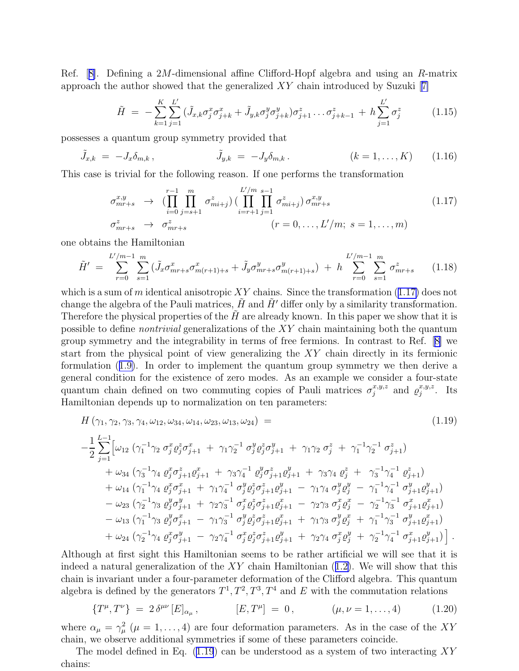<span id="page-3-0"></span>Ref.[[8\]](#page-16-0). Defining a 2M-dimensional affine Clifford-Hopf algebra and using an R-matrix approachthe author showed that the generalized  $XY$  chain introduced by Suzuki [[7\]](#page-16-0)

$$
\tilde{H} = -\sum_{k=1}^{K} \sum_{j=1}^{L'} (\tilde{J}_{x,k} \sigma_j^x \sigma_{j+k}^x + \tilde{J}_{y,k} \sigma_j^y \sigma_{j+k}^y) \sigma_{j+1}^z \dots \sigma_{j+k-1}^z + h \sum_{j=1}^{L'} \sigma_j^z \tag{1.15}
$$

possesses a quantum group symmetry provided that

$$
\tilde{J}_{x,k} = -J_x \delta_{m,k}, \qquad \tilde{J}_{y,k} = -J_y \delta_{m,k}. \qquad (k = 1, ..., K) \qquad (1.16)
$$

This case is trivial for the following reason. If one performs the transformation

$$
\sigma_{mr+s}^{x,y} \rightarrow (\prod_{i=0}^{r-1} \prod_{j=s+1}^{m} \sigma_{mi+j}^{z}) (\prod_{i=r+1}^{L'/m} \prod_{j=1}^{s-1} \sigma_{mi+j}^{z}) \sigma_{mr+s}^{x,y} \qquad (1.17)
$$
  

$$
\sigma_{mr+s}^{z} \rightarrow \sigma_{mr+s}^{z} \qquad (r = 0, \dots, L'/m; s = 1, \dots, m)
$$

one obtains the Hamiltonian

$$
\tilde{H}' = \sum_{r=0}^{L'/m-1} \sum_{s=1}^{m} (\tilde{J}_x \sigma_{mr+s}^x \sigma_{m(r+1)+s}^x + \tilde{J}_y \sigma_{mr+s}^y \sigma_{m(r+1)+s}^y) + h \sum_{r=0}^{L'/m-1} \sum_{s=1}^{m} \sigma_{mr+s}^z \qquad (1.18)
$$

which is a sum of m identical anisotropic XY chains. Since the transformation  $(1.17)$  does not change the algebra of the Pauli matrices,  $H$  and  $H'$  differ only by a similarity transformation. Therefore the physical properties of the  $\hat{H}$  are already known. In this paper we show that it is possible to define nontrivial generalizations of the XY chain maintaining both the quantum group symmetry and the integrability in terms of free fermions. In contrast to Ref.[[8\]](#page-16-0) we start from the physical point of view generalizing the XY chain directly in its fermionic formulation([1.9\)](#page-2-0). In order to implement the quantum group symmetry we then derive a general condition for the existence of zero modes. As an example we consider a four-state quantum chain defined on two commuting copies of Pauli matrices  $\sigma_j^{x,y,z}$  and  $\varrho_j^{x,y,z}$  $j^{x,y,z}$ . Its Hamiltonian depends up to normalization on ten parameters:

$$
H(\gamma_1, \gamma_2, \gamma_3, \gamma_4, \omega_{12}, \omega_{34}, \omega_{14}, \omega_{23}, \omega_{13}, \omega_{24}) =
$$
\n
$$
-\frac{1}{2} \sum_{j=1}^{L-1} \left[ \omega_{12} \left( \gamma_1^{-1} \gamma_2 \sigma_j^x \varrho_j^z \sigma_{j+1}^x + \gamma_1 \gamma_2^{-1} \sigma_j^y \varrho_j^z \sigma_{j+1}^y + \gamma_1 \gamma_2 \sigma_j^z + \gamma_1^{-1} \gamma_2^{-1} \sigma_{j+1}^z \right) \right. \\
\left. + \omega_{34} \left( \gamma_3^{-1} \gamma_4 \ \varrho_j^x \sigma_{j+1}^z \varrho_{j+1}^x + \gamma_3 \gamma_4^{-1} \ \varrho_j^y \sigma_{j+1}^z \varrho_{j+1}^y + \gamma_3 \gamma_4 \ \varrho_j^z + \gamma_3^{-1} \gamma_4^{-1} \ \varrho_{j+1}^z \right) \right. \\
\left. + \omega_{14} \left( \gamma_1^{-1} \gamma_4 \ \varrho_j^x \sigma_{j+1}^x + \gamma_1 \gamma_4^{-1} \ \sigma_j^y \varrho_j^z \sigma_{j+1}^z \varrho_{j+1}^y - \gamma_1 \gamma_4 \ \sigma_j^y \varrho_j^y - \gamma_1^{-1} \gamma_4^{-1} \ \sigma_{j+1}^y \varrho_{j+1}^y \right) \right. \\
\left. - \omega_{23} \left( \gamma_2^{-1} \gamma_3 \ \varrho_j^y \sigma_{j+1}^y + \gamma_2 \gamma_3^{-1} \ \sigma_j^x \varrho_j^z \sigma_{j+1}^z \varrho_{j+1}^x - \gamma_2 \gamma_3 \ \sigma_j^x \varrho_j^x - \gamma_2^{-1} \gamma_3^{-1} \ \sigma_{j+1}^x \varrho_{j+1}^x \right) \right. \\
\left. - \omega_{13} \left( \gamma_1^{-1} \gamma_3 \ \varrho_j^y \sigma_{j+1}^x - \gamma_1 \gamma_3^{-1} \ \sigma_j^y \varrho_j^z \sigma_{j+1}^z \varrho_{j+1}^x + \gamma_1 \gamma_3 \ \sigma_j^y \varrho_j^x + \gamma_1^{-1} \gamma_3^{-1} \ \sigma_{
$$

Although at first sight this Hamiltonian seems to be rather artificial we will see that it is indeeda natural generalization of the  $XY$  chain Hamiltonian ([1.2\)](#page-1-0). We will show that this chain is invariant under a four-parameter deformation of the Clifford algebra. This quantum algebra is defined by the generators  $T^1, T^2, T^3, T^4$  and E with the commutation relations

$$
\{T^{\mu},T^{\nu}\} = 2\,\delta^{\mu\nu}\,[E]_{\alpha_{\mu}}, \qquad [E,T^{\mu}] = 0, \qquad (\mu,\nu = 1,\ldots,4) \qquad (1.20)
$$

where  $\alpha_{\mu} = \gamma_{\mu}^2$  ( $\mu = 1, ..., 4$ ) are four deformation parameters. As in the case of the XY chain, we observe additional symmetries if some of these parameters coincide.

The model defined in Eq.  $(1.19)$  can be understood as a system of two interacting XY chains: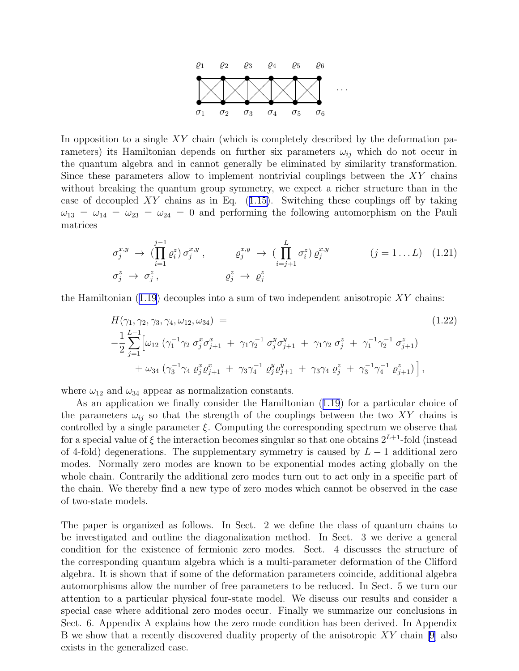

<span id="page-4-0"></span>In opposition to a single  $XY$  chain (which is completely described by the deformation parameters) its Hamiltonian depends on further six parameters  $\omega_{ij}$  which do not occur in the quantum algebra and in cannot generally be eliminated by similarity transformation. Since these parameters allow to implement nontrivial couplings between the XY chains without breaking the quantum group symmetry, we expect a richer structure than in the caseof decoupled  $XY$  chains as in Eq. ([1.15\)](#page-3-0). Switching these couplings off by taking  $\omega_{13} = \omega_{14} = \omega_{23} = \omega_{24} = 0$  and performing the following automorphism on the Pauli matrices

$$
\sigma_j^{x,y} \rightarrow (\prod_{i=1}^{j-1} \varrho_i^z) \sigma_j^{x,y}, \qquad \varrho_j^{x,y} \rightarrow (\prod_{i=j+1}^{L} \sigma_i^z) \varrho_j^{x,y} \qquad (j = 1 \dots L) \quad (1.21)
$$
  

$$
\sigma_j^z \rightarrow \sigma_j^z, \qquad \varrho_j^z \rightarrow \varrho_j^z
$$

the Hamiltonian  $(1.19)$  decouples into a sum of two independent anisotropic XY chains:

$$
H(\gamma_1, \gamma_2, \gamma_3, \gamma_4, \omega_{12}, \omega_{34}) =
$$
\n
$$
-\frac{1}{2} \sum_{j=1}^{L-1} \left[ \omega_{12} \left( \gamma_1^{-1} \gamma_2 \sigma_j^x \sigma_{j+1}^x + \gamma_1 \gamma_2^{-1} \sigma_j^y \sigma_{j+1}^y + \gamma_1 \gamma_2 \sigma_j^z + \gamma_1^{-1} \gamma_2^{-1} \sigma_{j+1}^z \right) + \omega_{34} \left( \gamma_3^{-1} \gamma_4 \varrho_j^x \varrho_{j+1}^x + \gamma_3 \gamma_4^{-1} \varrho_j^y \varrho_{j+1}^y + \gamma_3 \gamma_4 \varrho_j^z + \gamma_3^{-1} \gamma_4^{-1} \varrho_{j+1}^z \right) \right],
$$
\n(1.22)

where  $\omega_{12}$  and  $\omega_{34}$  appear as normalization constants.

As an application we finally consider the Hamiltonian([1.19](#page-3-0)) for a particular choice of the parameters  $\omega_{ij}$  so that the strength of the couplings between the two XY chains is controlled by a single parameter  $\xi$ . Computing the corresponding spectrum we observe that for a special value of  $\xi$  the interaction becomes singular so that one obtains  $2^{L+1}$ -fold (instead of 4-fold) degenerations. The supplementary symmetry is caused by  $L - 1$  additional zero modes. Normally zero modes are known to be exponential modes acting globally on the whole chain. Contrarily the additional zero modes turn out to act only in a specific part of the chain. We thereby find a new type of zero modes which cannot be observed in the case of two-state models.

The paper is organized as follows. In Sect. 2 we define the class of quantum chains to be investigated and outline the diagonalization method. In Sect. 3 we derive a general condition for the existence of fermionic zero modes. Sect. 4 discusses the structure of the corresponding quantum algebra which is a multi-parameter deformation of the Clifford algebra. It is shown that if some of the deformation parameters coincide, additional algebra automorphisms allow the number of free parameters to be reduced. In Sect. 5 we turn our attention to a particular physical four-state model. We discuss our results and consider a special case where additional zero modes occur. Finally we summarize our conclusions in Sect. 6. Appendix A explains how the zero mode condition has been derived. In Appendix B we show that a recently discovered duality property of the anisotropic  $XY$  chain [\[9\]](#page-16-0) also exists in the generalized case.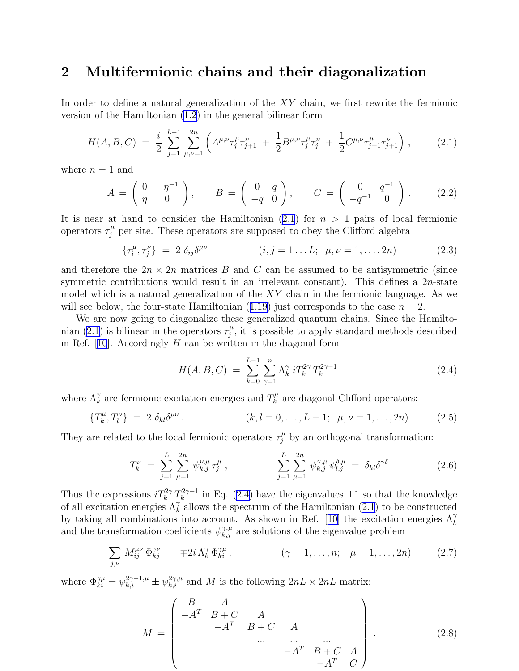### <span id="page-5-0"></span>2 Multifermionic chains and their diagonalization

In order to define a natural generalization of the XY chain, we first rewrite the fermionic version of the Hamiltonian [\(1.2](#page-1-0)) in the general bilinear form

$$
H(A, B, C) = \frac{i}{2} \sum_{j=1}^{L-1} \sum_{\mu,\nu=1}^{2n} \left( A^{\mu,\nu} \tau_j^{\mu} \tau_{j+1}^{\nu} + \frac{1}{2} B^{\mu,\nu} \tau_j^{\mu} \tau_j^{\nu} + \frac{1}{2} C^{\mu,\nu} \tau_{j+1}^{\mu} \tau_{j+1}^{\nu} \right), \tag{2.1}
$$

where  $n = 1$  and

$$
A = \begin{pmatrix} 0 & -\eta^{-1} \\ \eta & 0 \end{pmatrix}, \qquad B = \begin{pmatrix} 0 & q \\ -q & 0 \end{pmatrix}, \qquad C = \begin{pmatrix} 0 & q^{-1} \\ -q^{-1} & 0 \end{pmatrix}. \tag{2.2}
$$

It is near at hand to consider the Hamiltonian  $(2.1)$  for  $n > 1$  pairs of local fermionic operators  $\tau_j^{\mu}$  per site. These operators are supposed to obey the Clifford algebra

$$
\{\tau_i^{\mu}, \tau_j^{\nu}\} = 2 \delta_{ij} \delta^{\mu \nu} \qquad (i, j = 1...L; \ \mu, \nu = 1,..., 2n) \qquad (2.3)
$$

and therefore the  $2n \times 2n$  matrices B and C can be assumed to be antisymmetric (since symmetric contributions would result in an irrelevant constant). This defines a  $2n$ -state model which is a natural generalization of the  $XY$  chain in the fermionic language. As we willsee below, the four-state Hamiltonian  $(1.19)$  $(1.19)$  $(1.19)$  just corresponds to the case  $n = 2$ .

We are now going to diagonalize these generalized quantum chains. Since the Hamiltonian (2.1) is bilinear in the operators  $\tau_i^{\mu}$  $j^{\mu}$ , it is possible to apply standard methods described inRef.  $[10]$  $[10]$  $[10]$ . Accordingly H can be written in the diagonal form

$$
H(A, B, C) = \sum_{k=0}^{L-1} \sum_{\gamma=1}^{n} \Lambda_k^{\gamma} i T_k^{2\gamma} T_k^{2\gamma - 1}
$$
 (2.4)

where  $\Lambda_k^{\gamma}$  are fermionic excitation energies and  $T_k^{\mu}$  $\mu_k^{\mu}$  are diagonal Clifford operators:

$$
\{T_k^{\mu}, T_l^{\nu}\} = 2 \delta_{kl} \delta^{\mu \nu}.
$$
 (k,l = 0,...,L-1;  $\mu, \nu = 1,..., 2n$ ) (2.5)

They are related to the local fermionic operators  $\tau_j^{\mu}$  by an orthogonal transformation:

$$
T_k^{\nu} = \sum_{j=1}^{L} \sum_{\mu=1}^{2n} \psi_{k,j}^{\nu,\mu} \tau_j^{\mu} , \qquad \sum_{j=1}^{L} \sum_{\mu=1}^{2n} \psi_{k,j}^{\gamma,\mu} \psi_{l,j}^{\delta,\mu} = \delta_{kl} \delta^{\gamma \delta} \qquad (2.6)
$$

Thus the expressions  $iT_k^{2\gamma} T_k^{2\gamma-1}$  $\frac{k^{2\gamma-1}}{k}$  in Eq. (2.4) have the eigenvalues  $\pm 1$  so that the knowledge of all excitation energies  $\Lambda_k^{\gamma}$  allows the spectrum of the Hamiltonian (2.1) to be constructed bytaking all combinations into account. As shown in Ref. [[10](#page-16-0)] the excitation energies  $\Lambda_k^{\gamma}$ and the transformation coefficients  $\psi_{k,j}^{\gamma,\mu}$  are solutions of the eigenvalue problem

$$
\sum_{j,\nu} M_{ij}^{\mu\nu} \Phi_{kj}^{\gamma\nu} = \mp 2i \Lambda_k^{\gamma} \Phi_{ki}^{\gamma\mu}, \qquad (\gamma = 1, ..., n; \ \mu = 1, ..., 2n) \qquad (2.7)
$$

where  $\Phi_{ki}^{\gamma\mu} = \psi_{k,i}^{2\gamma-1,\mu} \pm \psi_{k,i}^{2\gamma,\mu}$  and M is the following  $2nL \times 2nL$  matrix:

$$
M = \begin{pmatrix} B & A & & & \\ -A^T & B + C & A & & \\ & -A^T & B + C & A & \\ & & \cdots & \cdots & \cdots \\ & & & -A^T & B + C & A \\ & & & & -A^T & C \end{pmatrix} .
$$
 (2.8)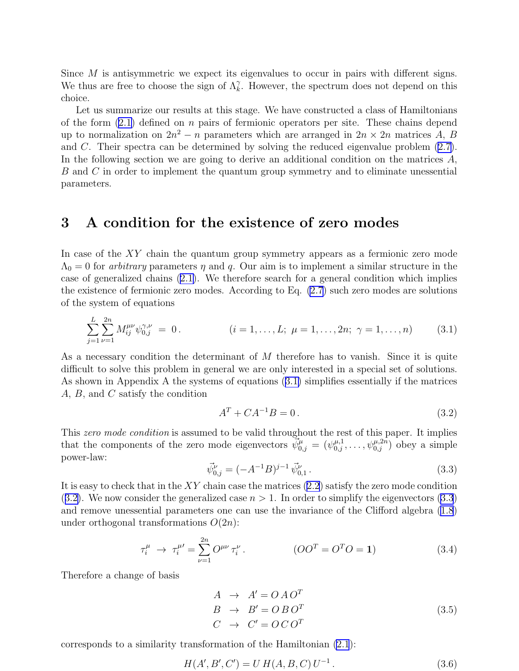<span id="page-6-0"></span>Since M is antisymmetric we expect its eigenvalues to occur in pairs with different signs. We thus are free to choose the sign of  $\Lambda_k^{\gamma}$ . However, the spectrum does not depend on this choice.

Let us summarize our results at this stage. We have constructed a class of Hamiltonians of the form  $(2.1)$  defined on n pairs of fermionic operators per site. These chains depend up to normalization on  $2n^2 - n$  parameters which are arranged in  $2n \times 2n$  matrices A, B and C. Their spectra can be determined by solving the reduced eigenvalue problem([2.7\)](#page-5-0). In the following section we are going to derive an additional condition on the matrices A, B and C in order to implement the quantum group symmetry and to eliminate unessential parameters.

## 3 A condition for the existence of zero modes

In case of the XY chain the quantum group symmetry appears as a fermionic zero mode  $\Lambda_0 = 0$  for *arbitrary* parameters  $\eta$  and q. Our aim is to implement a similar structure in the case of generalized chains([2.1\)](#page-5-0). We therefore search for a general condition which implies the existence of fermionic zero modes. According to Eq. [\(2.7](#page-5-0)) such zero modes are solutions of the system of equations

$$
\sum_{j=1}^{L} \sum_{\nu=1}^{2n} M_{ij}^{\mu\nu} \psi_{0,j}^{\gamma,\nu} = 0.
$$
  $(i = 1, ..., L; \mu = 1, ..., 2n; \gamma = 1, ..., n)$  (3.1)

As a necessary condition the determinant of M therefore has to vanish. Since it is quite difficult to solve this problem in general we are only interested in a special set of solutions. As shown in Appendix A the systems of equations (3.1) simplifies essentially if the matrices A, B, and C satisfy the condition

$$
A^T + CA^{-1}B = 0.
$$
 (3.2)

This zero mode condition is assumed to be valid throughout the rest of this paper. It implies that the components of the zero mode eigenvectors  $\vec{\psi}_{0,j}^{\mu} = (\psi_{0,j}^{\mu,1}, \dots, \psi_{0,j}^{\mu,2n})$  obey a simple power-law:

$$
\vec{\psi}_{0,j}^{\nu} = (-A^{-1}B)^{j-1} \vec{\psi}_{0,1}^{\nu} . \tag{3.3}
$$

It is easy to check that in the  $XY$  chain case the matrices  $(2.2)$  satisfy the zero mode condition  $(3.2)$ . We now consider the generalized case  $n > 1$ . In order to simplify the eigenvectors  $(3.3)$ and remove unessential parameters one can use the invariance of the Clifford algebra [\(1.8](#page-2-0)) under orthogonal transformations  $O(2n)$ :

$$
\tau_i^{\mu} \to \tau_i^{\mu'} = \sum_{\nu=1}^{2n} O^{\mu\nu} \tau_i^{\nu} \,. \tag{3.4}
$$

Therefore a change of basis

$$
A \rightarrow A' = O A O^{T}
$$
  
\n
$$
B \rightarrow B' = O B O^{T}
$$
  
\n
$$
C \rightarrow C' = O C O^{T}
$$
  
\n(3.5)

corresponds to a similarity transformation of the Hamiltonian [\(2.1](#page-5-0)):

$$
H(A', B', C') = U H(A, B, C) U^{-1}.
$$
\n(3.6)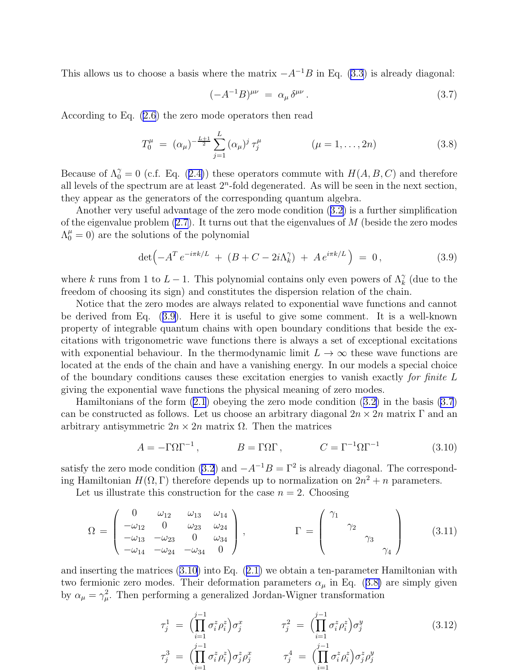<span id="page-7-0"></span>This allows us to choose a basis where the matrix  $-A^{-1}B$  in Eq. [\(3.3](#page-6-0)) is already diagonal:

$$
(-A^{-1}B)^{\mu\nu} = \alpha_{\mu}\delta^{\mu\nu}.
$$
 (3.7)

According to Eq. [\(2.6](#page-5-0)) the zero mode operators then read

$$
T_0^{\mu} = (\alpha_{\mu})^{-\frac{L+1}{2}} \sum_{j=1}^{L} (\alpha_{\mu})^j \tau_j^{\mu} \qquad (\mu = 1, ..., 2n)
$$
 (3.8)

Becauseof  $\Lambda_0^{\gamma} = 0$  (c.f. Eq. ([2.4\)](#page-5-0)) these operators commute with  $H(A, B, C)$  and therefore all levels of the spectrum are at least  $2<sup>n</sup>$ -fold degenerated. As will be seen in the next section, they appear as the generators of the corresponding quantum algebra.

Another very useful advantage of the zero mode condition([3.2\)](#page-6-0) is a further simplification of the eigenvalue problem  $(2.7)$ . It turns out that the eigenvalues of M (beside the zero modes  $\Lambda_0^{\mu} = 0$ ) are the solutions of the polynomial

$$
\det \left( -A^T e^{-i\pi k/L} + (B + C - 2i\Lambda_k^{\gamma}) + A e^{i\pi k/L} \right) = 0, \qquad (3.9)
$$

where k runs from 1 to  $L-1$ . This polynomial contains only even powers of  $\Lambda_k^{\gamma}$  (due to the freedom of choosing its sign) and constitutes the dispersion relation of the chain.

Notice that the zero modes are always related to exponential wave functions and cannot be derived from Eq. (3.9). Here it is useful to give some comment. It is a well-known property of integrable quantum chains with open boundary conditions that beside the excitations with trigonometric wave functions there is always a set of exceptional excitations with exponential behaviour. In the thermodynamic limit  $L \to \infty$  these wave functions are located at the ends of the chain and have a vanishing energy. In our models a special choice of the boundary conditions causes these excitation energies to vanish exactly for finite L giving the exponential wave functions the physical meaning of zero modes.

Hamiltonians of the form [\(2.1](#page-5-0)) obeying the zero mode condition([3.2\)](#page-6-0) in the basis (3.7) can be constructed as follows. Let us choose an arbitrary diagonal  $2n \times 2n$  matrix Γ and an arbitrary antisymmetric  $2n \times 2n$  matrix  $\Omega$ . Then the matrices

$$
A = -\Gamma \Omega \Gamma^{-1}, \qquad B = \Gamma \Omega \Gamma, \qquad C = \Gamma^{-1} \Omega \Gamma^{-1}
$$
\n(3.10)

satisfy the zero mode condition [\(3.2](#page-6-0)) and  $-A^{-1}B = \Gamma^2$  is already diagonal. The corresponding Hamiltonian  $H(\Omega, \Gamma)$  therefore depends up to normalization on  $2n^2 + n$  parameters.

Let us illustrate this construction for the case  $n = 2$ . Choosing

$$
\Omega = \begin{pmatrix}\n0 & \omega_{12} & \omega_{13} & \omega_{14} \\
-\omega_{12} & 0 & \omega_{23} & \omega_{24} \\
-\omega_{13} & -\omega_{23} & 0 & \omega_{34} \\
-\omega_{14} & -\omega_{24} & -\omega_{34} & 0\n\end{pmatrix}, \qquad \Gamma = \begin{pmatrix}\n\gamma_1 \\
\gamma_2 \\
\gamma_3 \\
\gamma_4\n\end{pmatrix}
$$
\n(3.11)

and inserting the matrices (3.10) into Eq.([2.1\)](#page-5-0) we obtain a ten-parameter Hamiltonian with two fermionic zero modes. Their deformation parameters  $\alpha_{\mu}$  in Eq. (3.8) are simply given by  $\alpha_{\mu} = \gamma_{\mu}^2$ . Then performing a generalized Jordan-Wigner transformation

$$
\tau_j^1 = \left( \prod_{i=1}^{j-1} \sigma_i^z \rho_i^z \right) \sigma_j^x \qquad \tau_j^2 = \left( \prod_{i=1}^{j-1} \sigma_i^z \rho_i^z \right) \sigma_j^y \qquad (3.12)
$$
\n
$$
\tau_j^3 = \left( \prod_{i=1}^{j-1} \sigma_i^z \rho_i^z \right) \sigma_j^z \rho_j^x \qquad \tau_j^4 = \left( \prod_{i=1}^{j-1} \sigma_i^z \rho_i^z \right) \sigma_j^z \rho_j^y
$$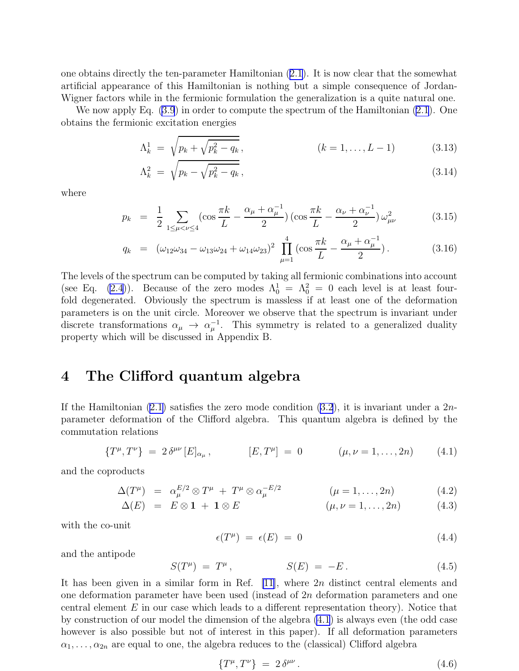<span id="page-8-0"></span>one obtains directly the ten-parameter Hamiltonian([2.1](#page-5-0)). It is now clear that the somewhat artificial appearance of this Hamiltonian is nothing but a simple consequence of Jordan-Wigner factors while in the fermionic formulation the generalization is a quite natural one.

We now apply Eq. [\(3.9](#page-7-0)) in order to compute the spectrum of the Hamiltonian [\(2.1](#page-5-0)). One obtains the fermionic excitation energies

$$
\Lambda_k^1 = \sqrt{p_k + \sqrt{p_k^2 - q_k}}, \qquad (k = 1, ..., L - 1)
$$
\n(3.13)

$$
\Lambda_k^2 = \sqrt{p_k - \sqrt{p_k^2 - q_k}},\tag{3.14}
$$

where

$$
p_k = \frac{1}{2} \sum_{1 \le \mu < \nu \le 4} (\cos \frac{\pi k}{L} - \frac{\alpha_\mu + \alpha_\mu^{-1}}{2}) \left( \cos \frac{\pi k}{L} - \frac{\alpha_\nu + \alpha_\nu^{-1}}{2} \right) \omega_{\mu\nu}^2 \tag{3.15}
$$

$$
q_k = (\omega_{12}\omega_{34} - \omega_{13}\omega_{24} + \omega_{14}\omega_{23})^2 \prod_{\mu=1}^4 (\cos\frac{\pi k}{L} - \frac{\alpha_\mu + \alpha_\mu^{-1}}{2}). \tag{3.16}
$$

The levels of the spectrum can be computed by taking all fermionic combinations into account (see Eq. [\(2.4](#page-5-0))). Because of the zero modes  $\Lambda_0^1 = \Lambda_0^2 = 0$  each level is at least fourfold degenerated. Obviously the spectrum is massless if at least one of the deformation parameters is on the unit circle. Moreover we observe that the spectrum is invariant under discrete transformations  $\alpha_{\mu} \rightarrow \alpha_{\mu}^{-1}$ . This symmetry is related to a generalized duality property which will be discussed in Appendix B.

## 4 The Clifford quantum algebra

Ifthe Hamiltonian  $(2.1)$  $(2.1)$  satisfies the zero mode condition  $(3.2)$ , it is invariant under a  $2n$ parameter deformation of the Clifford algebra. This quantum algebra is defined by the commutation relations

$$
\{T^{\mu},T^{\nu}\} = 2 \delta^{\mu\nu} [E]_{\alpha_{\mu}}, \qquad [E,T^{\mu}] = 0 \qquad (\mu,\nu = 1,\ldots,2n) \qquad (4.1)
$$

and the coproducts

$$
\Delta(T^{\mu}) = \alpha_{\mu}^{E/2} \otimes T^{\mu} + T^{\mu} \otimes \alpha_{\mu}^{-E/2} \qquad (\mu = 1, \dots, 2n) \qquad (4.2)
$$

$$
\Delta(E) = E \otimes \mathbf{1} + \mathbf{1} \otimes E \qquad (\mu, \nu = 1, \dots, 2n) \tag{4.3}
$$

with the co-unit

$$
\epsilon(T^{\mu}) = \epsilon(E) = 0 \tag{4.4}
$$

and the antipode

$$
S(T^{\mu}) = T^{\mu}, \qquad S(E) = -E. \qquad (4.5)
$$

It has been given in a similar form in Ref.  $[11]$ , where  $2n$  distinct central elements and one deformation parameter have been used (instead of 2n deformation parameters and one central element  $E$  in our case which leads to a different representation theory). Notice that by construction of our model the dimension of the algebra (4.1) is always even (the odd case however is also possible but not of interest in this paper). If all deformation parameters  $\alpha_1, \ldots, \alpha_{2n}$  are equal to one, the algebra reduces to the (classical) Clifford algebra

$$
\{T^{\mu},T^{\nu}\} = 2\,\delta^{\mu\nu} \,. \tag{4.6}
$$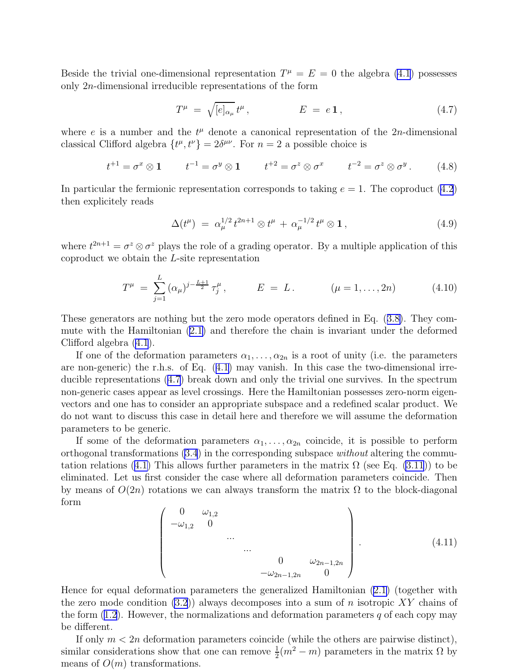<span id="page-9-0"></span>Beside the trivial one-dimensional representation  $T^{\mu} = E = 0$  the algebra [\(4.1](#page-8-0)) possesses only 2n-dimensional irreducible representations of the form

$$
T^{\mu} = \sqrt{[e]_{\alpha_{\mu}}} t^{\mu}, \qquad E = e \mathbf{1}, \qquad (4.7)
$$

where  $e$  is a number and the  $t^{\mu}$  denote a canonical representation of the 2n-dimensional classical Clifford algebra  $\{t^{\mu}, t^{\nu}\} = 2\delta^{\mu\nu}$ . For  $n = 2$  a possible choice is

$$
t^{+1} = \sigma^x \otimes 1 \qquad t^{-1} = \sigma^y \otimes 1 \qquad t^{+2} = \sigma^z \otimes \sigma^x \qquad t^{-2} = \sigma^z \otimes \sigma^y \,.
$$
 (4.8)

In particular the fermionic representation corresponds to taking  $e = 1$ . The coproduct  $(4.2)$ then explicitely reads

$$
\Delta(t^{\mu}) = \alpha_{\mu}^{1/2} t^{2n+1} \otimes t^{\mu} + \alpha_{\mu}^{-1/2} t^{\mu} \otimes \mathbf{1}, \qquad (4.9)
$$

where  $t^{2n+1} = \sigma^z \otimes \sigma^z$  plays the role of a grading operator. By a multiple application of this coproduct we obtain the L-site representation

$$
T^{\mu} = \sum_{j=1}^{L} (\alpha_{\mu})^{j - \frac{L+1}{2}} \tau_j^{\mu}, \qquad E = L. \qquad (\mu = 1, ..., 2n) \qquad (4.10)
$$

These generators are nothing but the zero mode operators defined in Eq.([3.8\)](#page-7-0). They commute with the Hamiltonian([2.1\)](#page-5-0) and therefore the chain is invariant under the deformed Clifford algebra [\(4.1](#page-8-0)).

If one of the deformation parameters  $\alpha_1, \ldots, \alpha_{2n}$  is a root of unity (i.e. the parameters are non-generic) the r.h.s. of Eq.([4.1\)](#page-8-0) may vanish. In this case the two-dimensional irreducible representations (4.7) break down and only the trivial one survives. In the spectrum non-generic cases appear as level crossings. Here the Hamiltonian possesses zero-norm eigenvectors and one has to consider an appropriate subspace and a redefined scalar product. We do not want to discuss this case in detail here and therefore we will assume the deformation parameters to be generic.

If some of the deformation parameters  $\alpha_1, \ldots, \alpha_{2n}$  coincide, it is possible to perform orthogonal transformations  $(3.4)$  in the corresponding subspace *without* altering the commu-tationrelations ([4.1\)](#page-8-0) This allows further parameters in the matrix  $\Omega$  (see Eq. [\(3.11](#page-7-0))) to be eliminated. Let us first consider the case where all deformation parameters coincide. Then by means of  $O(2n)$  rotations we can always transform the matrix  $\Omega$  to the block-diagonal form

$$
\begin{pmatrix}\n0 & \omega_{1,2} & & & \\
-\omega_{1,2} & 0 & & & \\
& \cdots & & & \\
& & \cdots & & \\
& & & 0 & \omega_{2n-1,2n} \\
& & & & -\omega_{2n-1,2n} & 0\n\end{pmatrix}.
$$
\n(4.11)

Hence for equal deformation parameters the generalized Hamiltonian([2.1\)](#page-5-0) (together with the zero mode condition  $(3.2)$  always decomposes into a sum of n isotropic XY chains of theform  $(1.2)$  $(1.2)$ . However, the normalizations and deformation parameters q of each copy may be different.

If only  $m < 2n$  deformation parameters coincide (while the others are pairwise distinct), similar considerations show that one can remove  $\frac{1}{2}(m^2 - m)$  parameters in the matrix  $\Omega$  by means of  $O(m)$  transformations.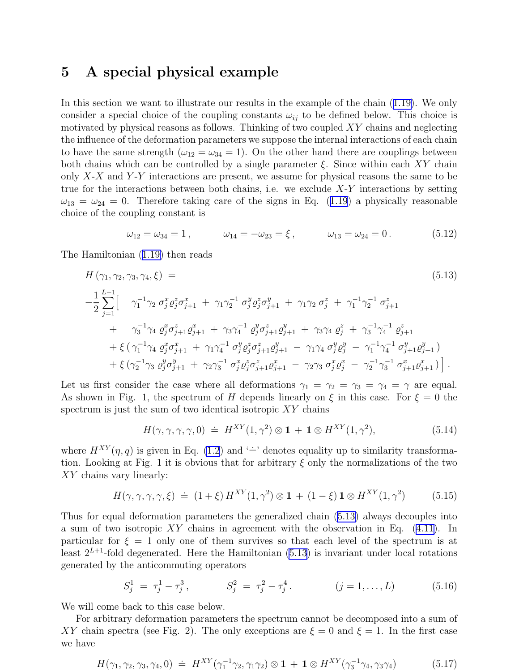## <span id="page-10-0"></span>5 A special physical example

In this section we want to illustrate our results in the example of the chain [\(1.19\)](#page-3-0). We only consider a special choice of the coupling constants  $\omega_{ij}$  to be defined below. This choice is motivated by physical reasons as follows. Thinking of two coupled  $XY$  chains and neglecting the influence of the deformation parameters we suppose the internal interactions of each chain to have the same strength ( $\omega_{12} = \omega_{34} = 1$ ). On the other hand there are couplings between both chains which can be controlled by a single parameter  $\xi$ . Since within each XY chain only  $X-X$  and  $Y-Y$  interactions are present, we assume for physical reasons the same to be true for the interactions between both chains, i.e. we exclude  $X-Y$  interactions by setting  $\omega_{13} = \omega_{24} = 0$  $\omega_{13} = \omega_{24} = 0$  $\omega_{13} = \omega_{24} = 0$ . Therefore taking care of the signs in Eq. ([1.19](#page-3-0)) a physically reasonable choice of the coupling constant is

$$
\omega_{12} = \omega_{34} = 1, \qquad \omega_{14} = -\omega_{23} = \xi, \qquad \omega_{13} = \omega_{24} = 0. \qquad (5.12)
$$

The Hamiltonian([1.19\)](#page-3-0) then reads

$$
H(\gamma_1, \gamma_2, \gamma_3, \gamma_4, \xi) =
$$
\n
$$
-\frac{1}{2} \sum_{j=1}^{L-1} \left[ \gamma_1^{-1} \gamma_2 \sigma_j^x \varrho_j^z \sigma_{j+1}^x + \gamma_1 \gamma_2^{-1} \sigma_j^y \varrho_j^z \sigma_{j+1}^y + \gamma_1 \gamma_2 \sigma_j^z + \gamma_1^{-1} \gamma_2^{-1} \sigma_{j+1}^z \right.
$$
\n
$$
+ \gamma_3^{-1} \gamma_4 \varrho_j^x \sigma_{j+1}^z \varrho_{j+1}^x + \gamma_3 \gamma_4^{-1} \varrho_j^y \sigma_{j+1}^z \varrho_{j+1}^y + \gamma_3 \gamma_4 \varrho_j^z + \gamma_3^{-1} \gamma_4^{-1} \varrho_{j+1}^z
$$
\n
$$
+ \xi \left( \gamma_1^{-1} \gamma_4 \varrho_j^x \sigma_{j+1}^x + \gamma_1 \gamma_4^{-1} \sigma_j^y \varrho_j^z \sigma_{j+1}^z \varrho_{j+1}^y - \gamma_1 \gamma_4 \sigma_j^y \varrho_j^y - \gamma_1^{-1} \gamma_4^{-1} \sigma_{j+1}^y \varrho_{j+1}^y \right)
$$
\n
$$
+ \xi \left( \gamma_2^{-1} \gamma_3 \varrho_j^y \sigma_{j+1}^y + \gamma_2 \gamma_3^{-1} \sigma_j^x \varrho_j^z \sigma_{j+1}^z \varrho_{j+1}^x - \gamma_2 \gamma_3 \sigma_j^x \varrho_j^x - \gamma_2^{-1} \gamma_3^{-1} \sigma_{j+1}^x \varrho_{j+1}^x \right).
$$
\n(5.13)

Let us first consider the case where all deformations  $\gamma_1 = \gamma_2 = \gamma_3 = \gamma_4 = \gamma$  are equal. As shown in Fig. 1, the spectrum of H depends linearly on  $\xi$  in this case. For  $\xi = 0$  the spectrum is just the sum of two identical isotropic  $XY$  chains

$$
H(\gamma, \gamma, \gamma, \gamma, 0) \doteq H^{XY}(1, \gamma^2) \otimes \mathbf{1} + \mathbf{1} \otimes H^{XY}(1, \gamma^2), \tag{5.14}
$$

where  $H^{XY}(\eta, q)$  is given in Eq. [\(1.2](#page-1-0)) and '=' denotes equality up to similarity transformation. Looking at Fig. 1 it is obvious that for arbitrary  $\xi$  only the normalizations of the two XY chains vary linearly:

$$
H(\gamma, \gamma, \gamma, \gamma, \xi) \doteq (1 + \xi) H^{XY}(1, \gamma^2) \otimes 1 + (1 - \xi) \mathbf{1} \otimes H^{XY}(1, \gamma^2)
$$
(5.15)

Thus for equal deformation parameters the generalized chain (5.13) always decouples into a sum of two isotropic  $XY$  chains in agreement with the observation in Eq.  $(4.11)$ . In particular for  $\xi = 1$  only one of them survives so that each level of the spectrum is at least  $2^{L+1}$ -fold degenerated. Here the Hamiltonian (5.13) is invariant under local rotations generated by the anticommuting operators

$$
S_j^1 = \tau_j^1 - \tau_j^3, \qquad S_j^2 = \tau_j^2 - \tau_j^4. \qquad (j = 1, ..., L) \qquad (5.16)
$$

We will come back to this case below.

For arbitrary deformation parameters the spectrum cannot be decomposed into a sum of XY chain spectra (see Fig. 2). The only exceptions are  $\xi = 0$  and  $\xi = 1$ . In the first case we have

$$
H(\gamma_1, \gamma_2, \gamma_3, \gamma_4, 0) \doteq H^{XY}(\gamma_1^{-1}\gamma_2, \gamma_1\gamma_2) \otimes \mathbf{1} + \mathbf{1} \otimes H^{XY}(\gamma_3^{-1}\gamma_4, \gamma_3\gamma_4)
$$
(5.17)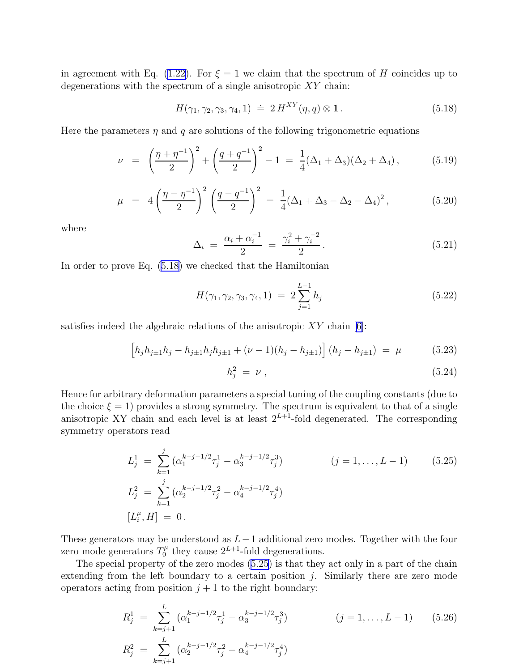<span id="page-11-0"></span>inagreement with Eq. ([1.22\)](#page-4-0). For  $\xi = 1$  we claim that the spectrum of H coincides up to degenerations with the spectrum of a single anisotropic XY chain:

$$
H(\gamma_1, \gamma_2, \gamma_3, \gamma_4, 1) \doteq 2 H^{XY}(\eta, q) \otimes \mathbf{1}. \tag{5.18}
$$

Here the parameters  $\eta$  and q are solutions of the following trigonometric equations

$$
\nu = \left(\frac{\eta + \eta^{-1}}{2}\right)^2 + \left(\frac{q + q^{-1}}{2}\right)^2 - 1 = \frac{1}{4}(\Delta_1 + \Delta_3)(\Delta_2 + \Delta_4), \tag{5.19}
$$

$$
\mu = 4\left(\frac{\eta - \eta^{-1}}{2}\right)^2 \left(\frac{q - q^{-1}}{2}\right)^2 = \frac{1}{4}(\Delta_1 + \Delta_3 - \Delta_2 - \Delta_4)^2, \tag{5.20}
$$

where

$$
\Delta_i = \frac{\alpha_i + \alpha_i^{-1}}{2} = \frac{\gamma_i^2 + \gamma_i^{-2}}{2}.
$$
\n(5.21)

In order to prove Eq. (5.18) we checked that the Hamiltonian

$$
H(\gamma_1, \gamma_2, \gamma_3, \gamma_4, 1) = 2 \sum_{j=1}^{L-1} h_j
$$
 (5.22)

satisfiesindeed the algebraic relations of the anisotropic  $XY$  chain [[6\]](#page-16-0):

$$
\left[h_j h_{j\pm 1} h_j - h_{j\pm 1} h_j h_{j\pm 1} + (\nu - 1)(h_j - h_{j\pm 1})\right] (h_j - h_{j\pm 1}) = \mu \tag{5.23}
$$

$$
h_j^2 = \nu \,, \tag{5.24}
$$

Hence for arbitrary deformation parameters a special tuning of the coupling constants (due to the choice  $\xi = 1$ ) provides a strong symmetry. The spectrum is equivalent to that of a single anisotropic XY chain and each level is at least  $2^{L+1}$ -fold degenerated. The corresponding symmetry operators read

$$
L_j^1 = \sum_{k=1}^j (\alpha_1^{k-j-1/2} \tau_j^1 - \alpha_3^{k-j-1/2} \tau_j^3)
$$
  $(j = 1, ..., L - 1)$  (5.25)  
\n
$$
L_j^2 = \sum_{k=1}^j (\alpha_2^{k-j-1/2} \tau_j^2 - \alpha_4^{k-j-1/2} \tau_j^4)
$$
  
\n
$$
[L_i^{\mu}, H] = 0.
$$

These generators may be understood as  $L-1$  additional zero modes. Together with the four zero mode generators  $T_0^{\mu}$  $C_0^{\mu}$  they cause  $2^{L+1}$ -fold degenerations.

The special property of the zero modes (5.25) is that they act only in a part of the chain extending from the left boundary to a certain position  $j$ . Similarly there are zero mode operators acting from position  $j + 1$  to the right boundary:

$$
R_j^1 = \sum_{k=j+1}^L (\alpha_1^{k-j-1/2} \tau_j^1 - \alpha_3^{k-j-1/2} \tau_j^3)
$$
  $(j = 1, ..., L - 1)$  (5.26)  
\n
$$
R_j^2 = \sum_{k=j+1}^L (\alpha_2^{k-j-1/2} \tau_j^2 - \alpha_4^{k-j-1/2} \tau_j^4)
$$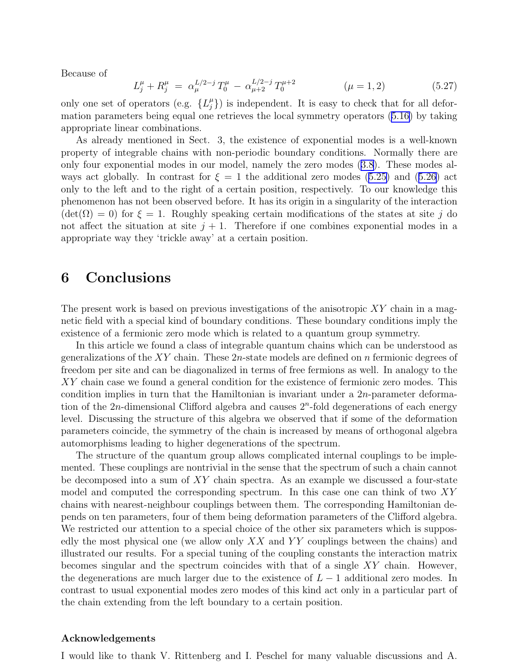Because of

$$
L_j^{\mu} + R_j^{\mu} = \alpha_{\mu}^{L/2-j} T_0^{\mu} - \alpha_{\mu+2}^{L/2-j} T_0^{\mu+2} \qquad (\mu = 1, 2)
$$
 (5.27)

only one set of operators (e.g.  $\{L_j^{\mu}\}\$ ) is independent. It is easy to check that for all deformation parameters being equal one retrieves the local symmetry operators([5.16\)](#page-10-0) by taking appropriate linear combinations.

As already mentioned in Sect. 3, the existence of exponential modes is a well-known property of integrable chains with non-periodic boundary conditions. Normally there are only four exponential modes in our model, namely the zero modes([3.8](#page-7-0)). These modes alwaysact globally. In contrast for  $\xi = 1$  the additional zero modes ([5.25\)](#page-11-0) and ([5.26\)](#page-11-0) act only to the left and to the right of a certain position, respectively. To our knowledge this phenomenon has not been observed before. It has its origin in a singularity of the interaction  $(\det(\Omega) = 0)$  for  $\xi = 1$ . Roughly speaking certain modifications of the states at site j do not affect the situation at site  $j + 1$ . Therefore if one combines exponential modes in a appropriate way they 'trickle away' at a certain position.

# 6 Conclusions

The present work is based on previous investigations of the anisotropic  $XY$  chain in a magnetic field with a special kind of boundary conditions. These boundary conditions imply the existence of a fermionic zero mode which is related to a quantum group symmetry.

In this article we found a class of integrable quantum chains which can be understood as generalizations of the  $XY$  chain. These  $2n$ -state models are defined on n fermionic degrees of freedom per site and can be diagonalized in terms of free fermions as well. In analogy to the XY chain case we found a general condition for the existence of fermionic zero modes. This condition implies in turn that the Hamiltonian is invariant under a  $2n$ -parameter deformation of the  $2n$ -dimensional Clifford algebra and causes  $2<sup>n</sup>$ -fold degenerations of each energy level. Discussing the structure of this algebra we observed that if some of the deformation parameters coincide, the symmetry of the chain is increased by means of orthogonal algebra automorphisms leading to higher degenerations of the spectrum.

The structure of the quantum group allows complicated internal couplings to be implemented. These couplings are nontrivial in the sense that the spectrum of such a chain cannot be decomposed into a sum of XY chain spectra. As an example we discussed a four-state model and computed the corresponding spectrum. In this case one can think of two XY chains with nearest-neighbour couplings between them. The corresponding Hamiltonian depends on ten parameters, four of them being deformation parameters of the Clifford algebra. We restricted our attention to a special choice of the other six parameters which is supposedly the most physical one (we allow only  $XX$  and  $YY$  couplings between the chains) and illustrated our results. For a special tuning of the coupling constants the interaction matrix becomes singular and the spectrum coincides with that of a single XY chain. However, the degenerations are much larger due to the existence of  $L - 1$  additional zero modes. In contrast to usual exponential modes zero modes of this kind act only in a particular part of the chain extending from the left boundary to a certain position.

#### Acknowledgements

I would like to thank V. Rittenberg and I. Peschel for many valuable discussions and A.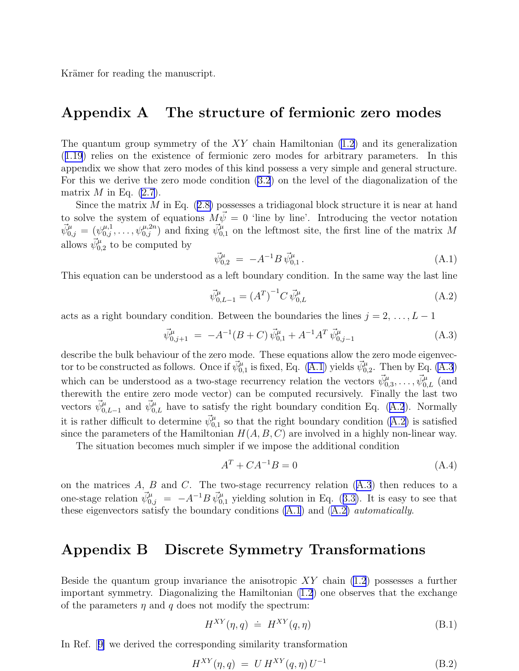<span id="page-13-0"></span>Krämer for reading the manuscript.

# Appendix A The structure of fermionic zero modes

The quantum group symmetry of the  $XY$  chain Hamiltonian  $(1.2)$  and its generalization ([1.19](#page-3-0)) relies on the existence of fermionic zero modes for arbitrary parameters. In this appendix we show that zero modes of this kind possess a very simple and general structure. For this we derive the zero mode condition [\(3.2](#page-6-0)) on the level of the diagonalization of the matrix  $M$  in Eq. [\(2.7](#page-5-0)).

Sincethe matrix  $M$  in Eq.  $(2.8)$  $(2.8)$  possesses a tridiagonal block structure it is near at hand to solve the system of equations  $M\vec{\psi} = 0$  'line by line'. Introducing the vector notation  $\vec{\psi}_{0,j}^{\mu} = (\psi_{0,j}^{\mu,1}, \ldots, \psi_{0,j}^{\mu,2n})$  and fixing  $\vec{\psi}_{0,1}^{\mu}$  on the leftmost site, the first line of the matrix M allows  $\vec{\psi}_{0,2}^{\mu}$  to be computed by

$$
\vec{\psi}_{0,2}^{\mu} = -A^{-1}B \,\vec{\psi}_{0,1}^{\mu} \,. \tag{A.1}
$$

This equation can be understood as a left boundary condition. In the same way the last line

$$
\vec{\psi}_{0,L-1}^{\mu} = (A^{T})^{-1} C \, \vec{\psi}_{0,L}^{\mu} \tag{A.2}
$$

acts as a right boundary condition. Between the boundaries the lines  $j = 2, \ldots, L - 1$ 

$$
\vec{\psi}_{0,j+1}^{\mu} = -A^{-1}(B+C)\vec{\psi}_{0,1}^{\mu} + A^{-1}A^{T}\vec{\psi}_{0,j-1}^{\mu}
$$
\n(A.3)

describe the bulk behaviour of the zero mode. These equations allow the zero mode eigenvector to be constructed as follows. Once if  $\vec{\psi}_{0,1}^{\mu}$  is fixed, Eq. (A.1) yields  $\vec{\psi}_{0,2}^{\mu}$ . Then by Eq. (A.3) which can be understood as a two-stage recurrency relation the vectors  $\vec{\psi}_{0,3}^{\mu}, \ldots, \vec{\psi}_{0,L}^{\mu}$  (and therewith the entire zero mode vector) can be computed recursively. Finally the last two vectors  $\vec{\psi}_{0,L-1}^{\mu}$  and  $\vec{\psi}_{0,L}^{\mu}$  have to satisfy the right boundary condition Eq. (A.2). Normally it is rather difficult to determine  $\vec{\psi}_{0,1}^{\mu}$  so that the right boundary condition (A.2) is satisfied since the parameters of the Hamiltonian  $H(A, B, C)$  are involved in a highly non-linear way.

The situation becomes much simpler if we impose the additional condition

$$
A^T + CA^{-1}B = 0 \tag{A.4}
$$

on the matrices  $A, B$  and  $C$ . The two-stage recurrency relation  $(A.3)$  then reduces to a one-stagerelation  $\vec{\psi}_{0,j}^{\mu} = -A^{-1}B \vec{\psi}_{0,1}^{\mu}$  yielding solution in Eq. ([3.3\)](#page-6-0). It is easy to see that these eigenvectors satisfy the boundary conditions  $(A.1)$  and  $(A.2)$  *automatically.* 

## Appendix B Discrete Symmetry Transformations

Beside the quantum group invariance the anisotropic  $XY$  chain [\(1.2](#page-1-0)) possesses a further important symmetry. Diagonalizing the Hamiltonian [\(1.2](#page-1-0)) one observes that the exchange of the parameters  $\eta$  and q does not modify the spectrum:

$$
H^{XY}(\eta, q) \doteq H^{XY}(q, \eta) \tag{B.1}
$$

In Ref.[[9\]](#page-16-0) we derived the corresponding similarity transformation

$$
H^{XY}(\eta, q) = U H^{XY}(q, \eta) U^{-1}
$$
\n(B.2)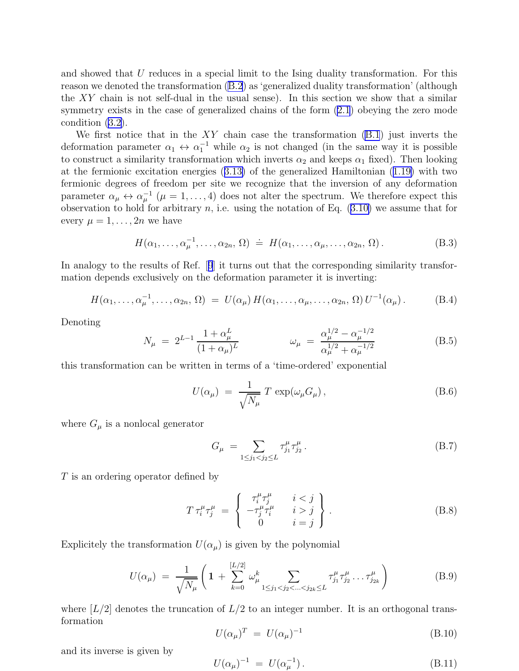<span id="page-14-0"></span>and showed that U reduces in a special limit to the Ising duality transformation. For this reason we denoted the transformation [\(B.2](#page-13-0)) as 'generalized duality transformation' (although the  $XY$  chain is not self-dual in the usual sense). In this section we show that a similar symmetry exists in the case of generalized chains of the form [\(2.1](#page-5-0)) obeying the zero mode condition([3.2\)](#page-6-0).

We first notice that in the  $XY$  chain case the transformation  $(B.1)$  just inverts the deformation parameter  $\alpha_1 \leftrightarrow \alpha_1^{-1}$  while  $\alpha_2$  is not changed (in the same way it is possible to construct a similarity transformation which inverts  $\alpha_2$  and keeps  $\alpha_1$  fixed). Then looking at the fermionic excitation energies([3.13\)](#page-8-0) of the generalized Hamiltonian([1.19\)](#page-3-0) with two fermionic degrees of freedom per site we recognize that the inversion of any deformation parameter  $\alpha_{\mu} \leftrightarrow \alpha_{\mu}^{-1}$  ( $\mu = 1, ..., 4$ ) does not alter the spectrum. We therefore expect this observationto hold for arbitrary  $n$ , i.e. using the notation of Eq.  $(3.10)$  $(3.10)$  we assume that for every  $\mu = 1, \ldots, 2n$  we have

$$
H(\alpha_1,\ldots,\alpha_\mu^{-1},\ldots,\alpha_{2n},\Omega) \doteq H(\alpha_1,\ldots,\alpha_\mu,\ldots,\alpha_{2n},\Omega).
$$
 (B.3)

Inanalogy to the results of Ref. [[9](#page-16-0)] it turns out that the corresponding similarity transformation depends exclusively on the deformation parameter it is inverting:

$$
H(\alpha_1,\ldots,\alpha_\mu^{-1},\ldots,\alpha_{2n},\Omega) = U(\alpha_\mu) H(\alpha_1,\ldots,\alpha_\mu,\ldots,\alpha_{2n},\Omega) U^{-1}(\alpha_\mu).
$$
 (B.4)

Denoting

$$
N_{\mu} = 2^{L-1} \frac{1 + \alpha_{\mu}^{L}}{(1 + \alpha_{\mu})^{L}} \qquad \qquad \omega_{\mu} = \frac{\alpha_{\mu}^{1/2} - \alpha_{\mu}^{-1/2}}{\alpha_{\mu}^{1/2} + \alpha_{\mu}^{-1/2}} \qquad (B.5)
$$

this transformation can be written in terms of a 'time-ordered' exponential

$$
U(\alpha_{\mu}) = \frac{1}{\sqrt{N_{\mu}}} T \exp(\omega_{\mu} G_{\mu}), \qquad (B.6)
$$

where  $G_{\mu}$  is a nonlocal generator

$$
G_{\mu} = \sum_{1 \le j_1 < j_2 \le L} \tau_{j_1}^{\mu} \tau_{j_2}^{\mu} \,. \tag{B.7}
$$

T is an ordering operator defined by

$$
T \tau_i^{\mu} \tau_j^{\mu} = \begin{cases} \tau_i^{\mu} \tau_j^{\mu} & i < j \\ -\tau_j^{\mu} \tau_i^{\mu} & i > j \\ 0 & i = j \end{cases} . \tag{B.8}
$$

Explicitely the transformation  $U(\alpha_{\mu})$  is given by the polynomial

$$
U(\alpha_{\mu}) = \frac{1}{\sqrt{N_{\mu}}} \left( 1 + \sum_{k=0}^{[L/2]} \omega_{\mu}^{k} \sum_{1 \leq j_{1} < j_{2} < \ldots < j_{2k} \leq L} \tau_{j_{1}}^{\mu} \tau_{j_{2}}^{\mu} \ldots \tau_{j_{2k}}^{\mu} \right) \tag{B.9}
$$

where  $[L/2]$  denotes the truncation of  $L/2$  to an integer number. It is an orthogonal transformation

$$
U(\alpha_{\mu})^T = U(\alpha_{\mu})^{-1} \tag{B.10}
$$

and its inverse is given by

$$
U(\alpha_{\mu})^{-1} = U(\alpha_{\mu}^{-1}). \tag{B.11}
$$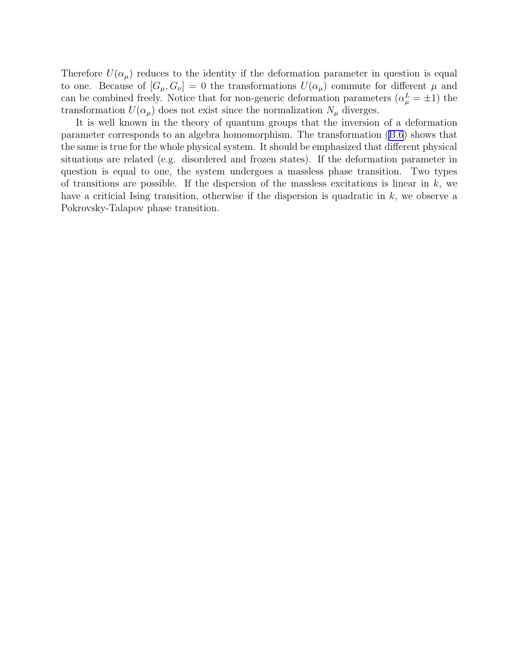Therefore  $U(\alpha_{\mu})$  reduces to the identity if the deformation parameter in question is equal to one. Because of  $[G_\mu, G_\nu] = 0$  the transformations  $U(\alpha_\mu)$  commute for different  $\mu$  and can be combined freely. Notice that for non-generic deformation parameters  $(\alpha_\mu^L = \pm 1)$  the transformation  $U(\alpha_{\mu})$  does not exist since the normalization  $N_{\mu}$  diverges.

It is well known in the theory of quantum groups that the inversion of a deformation parameter corresponds to an algebra homomorphism. The transformation([B.6](#page-14-0)) shows that the same is true for the whole physical system. It should be emphasized that different physical situations are related (e.g. disordered and frozen states). If the deformation parameter in question is equal to one, the system undergoes a massless phase transition. Two types of transitions are possible. If the dispersion of the massless excitations is linear in  $k$ , we have a criticial Ising transition, otherwise if the dispersion is quadratic in  $k$ , we observe a Pokrovsky-Talapov phase transition.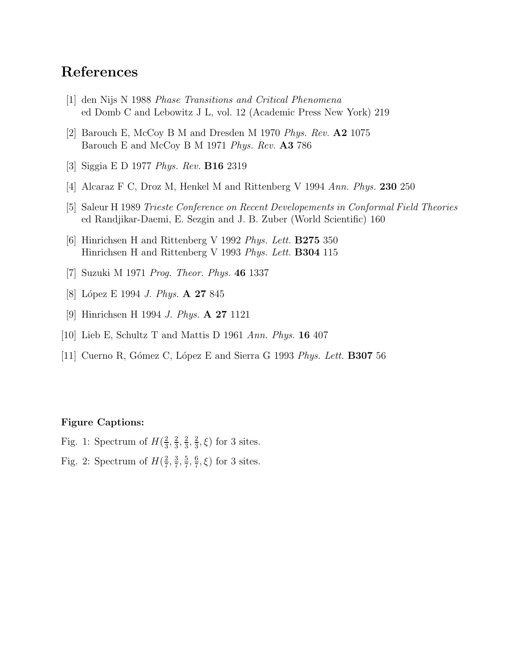# <span id="page-16-0"></span>References

- [1] den Nijs N 1988 Phase Transitions and Critical Phenomena ed Domb C and Lebowitz J L, vol. 12 (Academic Press New York) 219
- [2] Barouch E, McCoy B M and Dresden M 1970 Phys. Rev. A2 1075 Barouch E and McCoy B M 1971 Phys. Rev. A3 786
- [3] Siggia E D 1977 Phys. Rev. B16 2319
- [4] Alcaraz F C, Droz M, Henkel M and Rittenberg V 1994 Ann. Phys. 230 250
- [5] Saleur H 1989 Trieste Conference on Recent Developements in Conformal Field Theories ed Randjikar-Daemi, E. Sezgin and J. B. Zuber (World Scientific) 160
- [6] Hinrichsen H and Rittenberg V 1992 Phys. Lett. B275 350 Hinrichsen H and Rittenberg V 1993 Phys. Lett. B304 115
- [7] Suzuki M 1971 Prog. Theor. Phys. 46 1337
- [8] López E 1994 *J. Phys.* **A 27** 845
- [9] Hinrichsen H 1994 J. Phys. A 27 1121
- [10] Lieb E, Schultz T and Mattis D 1961 Ann. Phys. 16 407
- [11] Cuerno R, Gómez C, López E and Sierra G 1993 *Phys. Lett.* **B307** 56

#### Figure Captions:

Fig. 1: Spectrum of  $H(\frac{2}{3})$  $\frac{2}{3}, \frac{2}{3}$  $\frac{2}{3}, \frac{2}{3}$  $\frac{2}{3}, \frac{2}{3}$  $(\frac{2}{3}, \xi)$  for 3 sites.

Fig. 2: Spectrum of  $H(\frac{2}{7})$  $\frac{2}{7}, \frac{3}{7}$  $\frac{3}{7}, \frac{5}{7}$  $\frac{5}{7}, \frac{6}{7}$  $(\frac{6}{7}, \xi)$  for 3 sites.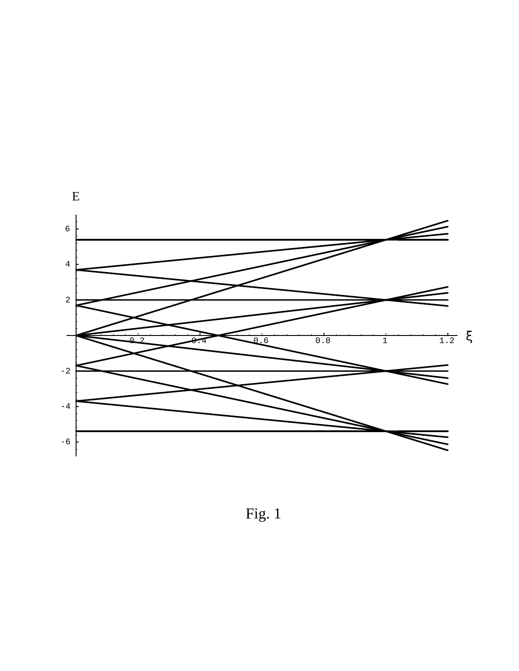

Fig. 1